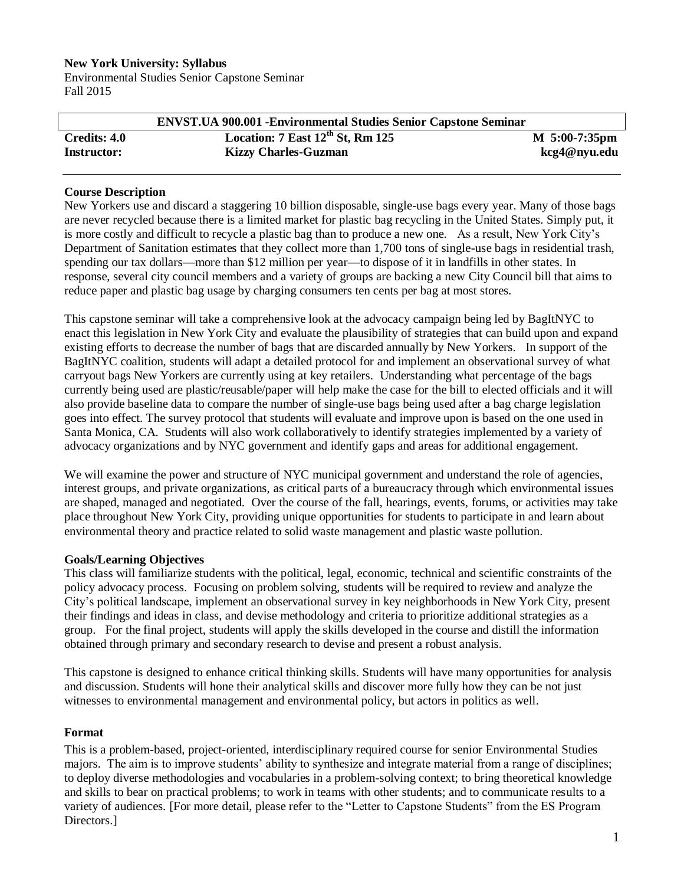#### **New York University: Syllabus**

Environmental Studies Senior Capstone Seminar Fall 2015

|                    | <b>ENVST.UA 900.001 - Environmental Studies Senior Capstone Seminar</b> |                   |
|--------------------|-------------------------------------------------------------------------|-------------------|
| Credits: 4.0       | Location: $7$ East $12^{th}$ St, Rm $125$                               | $M_{5:00-7:35pm}$ |
| <b>Instructor:</b> | <b>Kizzy Charles-Guzman</b>                                             | kcg4@nyu.edu      |

#### **Course Description**

New Yorkers use and discard a staggering 10 billion disposable, single-use bags every year. Many of those bags are never recycled because there is a limited market for plastic bag recycling in the United States. Simply put, it is more costly and difficult to recycle a plastic bag than to produce a new one. As a result, New York City's Department of Sanitation estimates that they collect more than 1,700 tons of single-use bags in residential trash, spending our tax dollars—more than \$12 million per year—to dispose of it in landfills in other states. In response, several city council members and a variety of groups are backing a new City Council bill that aims to reduce paper and plastic bag usage by charging consumers ten cents per bag at most stores.

This capstone seminar will take a comprehensive look at the advocacy campaign being led by BagItNYC to enact this legislation in New York City and evaluate the plausibility of strategies that can build upon and expand existing efforts to decrease the number of bags that are discarded annually by New Yorkers. In support of the BagItNYC coalition, students will adapt a detailed protocol for and implement an observational survey of what carryout bags New Yorkers are currently using at key retailers. Understanding what percentage of the bags currently being used are plastic/reusable/paper will help make the case for the bill to elected officials and it will also provide baseline data to compare the number of single-use bags being used after a bag charge legislation goes into effect. The survey protocol that students will evaluate and improve upon is based on the one used in Santa Monica, CA. Students will also work collaboratively to identify strategies implemented by a variety of advocacy organizations and by NYC government and identify gaps and areas for additional engagement.

We will examine the power and structure of NYC municipal government and understand the role of agencies, interest groups, and private organizations, as critical parts of a bureaucracy through which environmental issues are shaped, managed and negotiated. Over the course of the fall, hearings, events, forums, or activities may take place throughout New York City, providing unique opportunities for students to participate in and learn about environmental theory and practice related to solid waste management and plastic waste pollution.

#### **Goals/Learning Objectives**

This class will familiarize students with the political, legal, economic, technical and scientific constraints of the policy advocacy process. Focusing on problem solving, students will be required to review and analyze the City's political landscape, implement an observational survey in key neighborhoods in New York City, present their findings and ideas in class, and devise methodology and criteria to prioritize additional strategies as a group. For the final project, students will apply the skills developed in the course and distill the information obtained through primary and secondary research to devise and present a robust analysis.

This capstone is designed to enhance critical thinking skills. Students will have many opportunities for analysis and discussion. Students will hone their analytical skills and discover more fully how they can be not just witnesses to environmental management and environmental policy, but actors in politics as well.

#### **Format**

This is a problem-based, project-oriented, interdisciplinary required course for senior Environmental Studies majors. The aim is to improve students' ability to synthesize and integrate material from a range of disciplines; to deploy diverse methodologies and vocabularies in a problem-solving context; to bring theoretical knowledge and skills to bear on practical problems; to work in teams with other students; and to communicate results to a variety of audiences. [For more detail, please refer to the "Letter to Capstone Students" from the ES Program Directors.]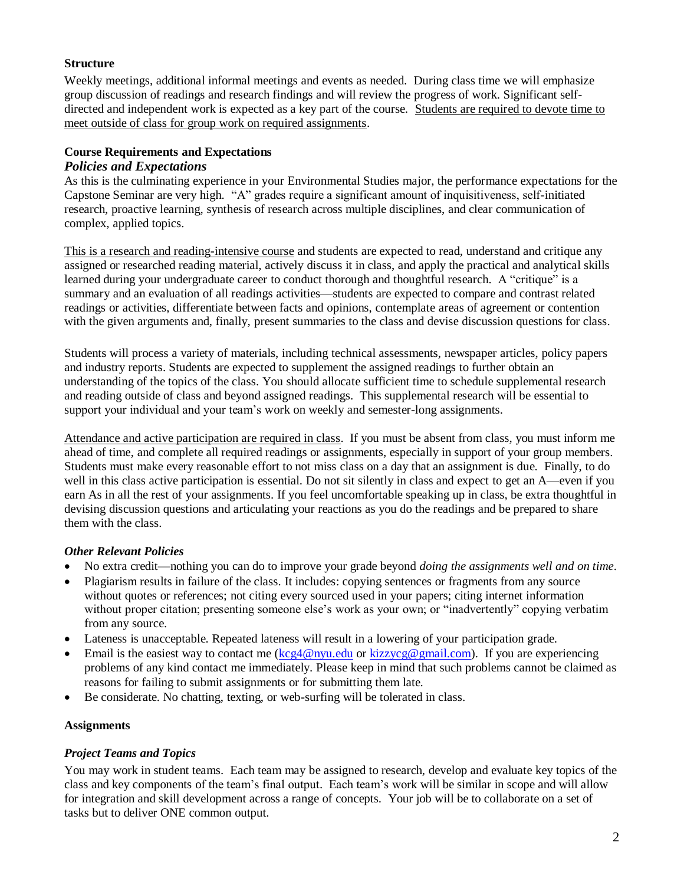### **Structure**

Weekly meetings, additional informal meetings and events as needed. During class time we will emphasize group discussion of readings and research findings and will review the progress of work. Significant selfdirected and independent work is expected as a key part of the course. Students are required to devote time to meet outside of class for group work on required assignments.

# **Course Requirements and Expectations**

### *Policies and Expectations*

As this is the culminating experience in your Environmental Studies major, the performance expectations for the Capstone Seminar are very high. "A" grades require a significant amount of inquisitiveness, self-initiated research, proactive learning, synthesis of research across multiple disciplines, and clear communication of complex, applied topics.

This is a research and reading-intensive course and students are expected to read, understand and critique any assigned or researched reading material, actively discuss it in class, and apply the practical and analytical skills learned during your undergraduate career to conduct thorough and thoughtful research. A "critique" is a summary and an evaluation of all readings activities—students are expected to compare and contrast related readings or activities, differentiate between facts and opinions, contemplate areas of agreement or contention with the given arguments and, finally, present summaries to the class and devise discussion questions for class.

Students will process a variety of materials, including technical assessments, newspaper articles, policy papers and industry reports. Students are expected to supplement the assigned readings to further obtain an understanding of the topics of the class. You should allocate sufficient time to schedule supplemental research and reading outside of class and beyond assigned readings. This supplemental research will be essential to support your individual and your team's work on weekly and semester-long assignments.

Attendance and active participation are required in class. If you must be absent from class, you must inform me ahead of time, and complete all required readings or assignments, especially in support of your group members. Students must make every reasonable effort to not miss class on a day that an assignment is due. Finally, to do well in this class active participation is essential. Do not sit silently in class and expect to get an A—even if you earn As in all the rest of your assignments. If you feel uncomfortable speaking up in class, be extra thoughtful in devising discussion questions and articulating your reactions as you do the readings and be prepared to share them with the class.

#### *Other Relevant Policies*

- No extra credit—nothing you can do to improve your grade beyond *doing the assignments well and on time*.
- Plagiarism results in failure of the class. It includes: copying sentences or fragments from any source without quotes or references; not citing every sourced used in your papers; citing internet information without proper citation; presenting someone else's work as your own; or "inadvertently" copying verbatim from any source.
- Lateness is unacceptable. Repeated lateness will result in a lowering of your participation grade.
- Email is the easiest way to contact me  $(\text{kcg4@nyu.edu or kizzycg@gmail.com})$ . If you are experiencing problems of any kind contact me immediately. Please keep in mind that such problems cannot be claimed as reasons for failing to submit assignments or for submitting them late.
- Be considerate. No chatting, texting, or web-surfing will be tolerated in class.

#### **Assignments**

# *Project Teams and Topics*

You may work in student teams. Each team may be assigned to research, develop and evaluate key topics of the class and key components of the team's final output. Each team's work will be similar in scope and will allow for integration and skill development across a range of concepts. Your job will be to collaborate on a set of tasks but to deliver ONE common output.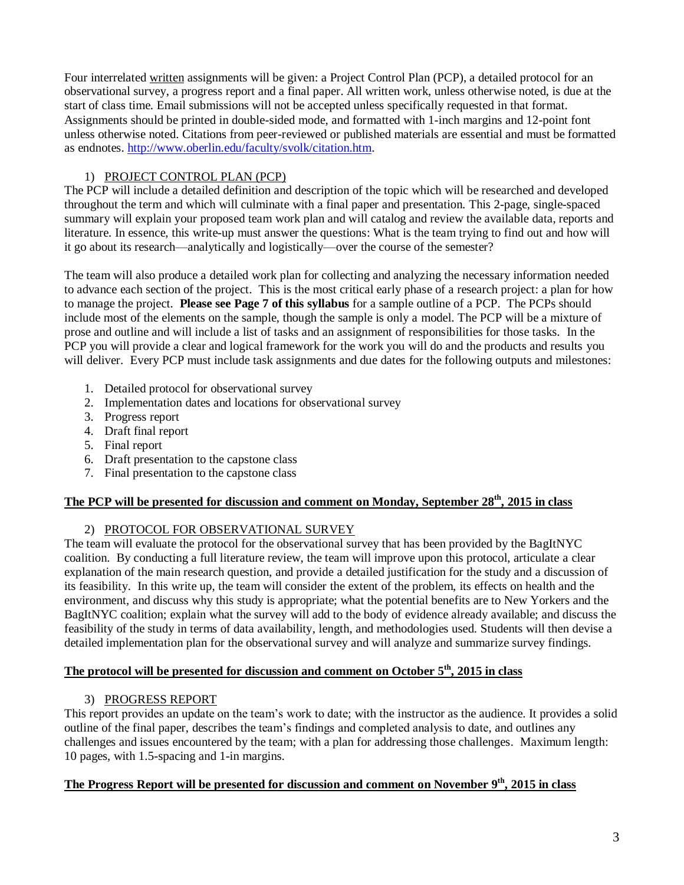Four interrelated written assignments will be given: a Project Control Plan (PCP), a detailed protocol for an observational survey, a progress report and a final paper. All written work, unless otherwise noted, is due at the start of class time. Email submissions will not be accepted unless specifically requested in that format. Assignments should be printed in double-sided mode, and formatted with 1-inch margins and 12-point font unless otherwise noted. Citations from peer-reviewed or published materials are essential and must be formatted as endnotes. [http://www.oberlin.edu/faculty/svolk/citation.htm.](http://www.oberlin.edu/faculty/svolk/citation.htm)

# 1) PROJECT CONTROL PLAN (PCP)

The PCP will include a detailed definition and description of the topic which will be researched and developed throughout the term and which will culminate with a final paper and presentation. This 2-page, single-spaced summary will explain your proposed team work plan and will catalog and review the available data, reports and literature. In essence, this write-up must answer the questions: What is the team trying to find out and how will it go about its research—analytically and logistically—over the course of the semester?

The team will also produce a detailed work plan for collecting and analyzing the necessary information needed to advance each section of the project. This is the most critical early phase of a research project: a plan for how to manage the project. **Please see Page 7 of this syllabus** for a sample outline of a PCP. The PCPs should include most of the elements on the sample, though the sample is only a model. The PCP will be a mixture of prose and outline and will include a list of tasks and an assignment of responsibilities for those tasks. In the PCP you will provide a clear and logical framework for the work you will do and the products and results you will deliver. Every PCP must include task assignments and due dates for the following outputs and milestones:

- 1. Detailed protocol for observational survey
- 2. Implementation dates and locations for observational survey
- 3. Progress report
- 4. Draft final report
- 5. Final report
- 6. Draft presentation to the capstone class
- 7. Final presentation to the capstone class

# **The PCP will be presented for discussion and comment on Monday, September 28 th, 2015 in class**

# 2) PROTOCOL FOR OBSERVATIONAL SURVEY

The team will evaluate the protocol for the observational survey that has been provided by the BagItNYC coalition. By conducting a full literature review, the team will improve upon this protocol, articulate a clear explanation of the main research question, and provide a detailed justification for the study and a discussion of its feasibility. In this write up, the team will consider the extent of the problem, its effects on health and the environment, and discuss why this study is appropriate; what the potential benefits are to New Yorkers and the BagItNYC coalition; explain what the survey will add to the body of evidence already available; and discuss the feasibility of the study in terms of data availability, length, and methodologies used. Students will then devise a detailed implementation plan for the observational survey and will analyze and summarize survey findings.

#### **The protocol will be presented for discussion and comment on October 5 th, 2015 in class**

# 3) PROGRESS REPORT

This report provides an update on the team's work to date; with the instructor as the audience. It provides a solid outline of the final paper, describes the team's findings and completed analysis to date, and outlines any challenges and issues encountered by the team; with a plan for addressing those challenges. Maximum length: 10 pages, with 1.5-spacing and 1-in margins.

#### **The Progress Report will be presented for discussion and comment on November 9 th, 2015 in class**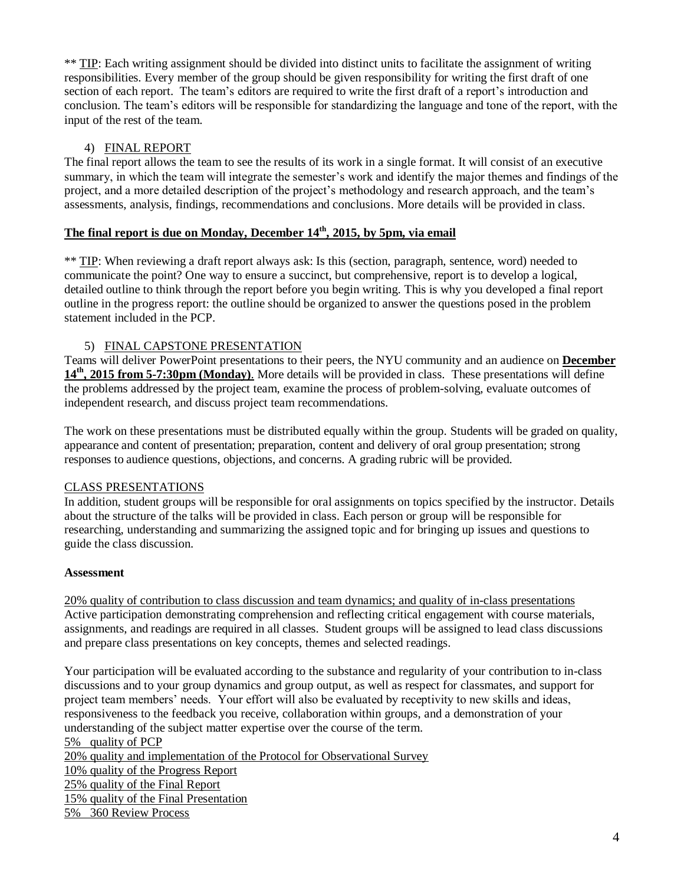\*\* TIP: Each writing assignment should be divided into distinct units to facilitate the assignment of writing responsibilities. Every member of the group should be given responsibility for writing the first draft of one section of each report. The team's editors are required to write the first draft of a report's introduction and conclusion. The team's editors will be responsible for standardizing the language and tone of the report, with the input of the rest of the team.

### 4) FINAL REPORT

The final report allows the team to see the results of its work in a single format. It will consist of an executive summary, in which the team will integrate the semester's work and identify the major themes and findings of the project, and a more detailed description of the project's methodology and research approach, and the team's assessments, analysis, findings, recommendations and conclusions. More details will be provided in class.

### **The final report is due on Monday, December 14 th, 2015, by 5pm, via email**

\*\* TIP: When reviewing a draft report always ask: Is this (section, paragraph, sentence, word) needed to communicate the point? One way to ensure a succinct, but comprehensive, report is to develop a logical, detailed outline to think through the report before you begin writing. This is why you developed a final report outline in the progress report: the outline should be organized to answer the questions posed in the problem statement included in the PCP.

#### 5) FINAL CAPSTONE PRESENTATION

Teams will deliver PowerPoint presentations to their peers, the NYU community and an audience on **December 14th, 2015 from 5-7:30pm (Monday)**. More details will be provided in class. These presentations will define the problems addressed by the project team, examine the process of problem-solving, evaluate outcomes of independent research, and discuss project team recommendations.

The work on these presentations must be distributed equally within the group. Students will be graded on quality, appearance and content of presentation; preparation, content and delivery of oral group presentation; strong responses to audience questions, objections, and concerns. A grading rubric will be provided.

#### CLASS PRESENTATIONS

In addition, student groups will be responsible for oral assignments on topics specified by the instructor. Details about the structure of the talks will be provided in class. Each person or group will be responsible for researching, understanding and summarizing the assigned topic and for bringing up issues and questions to guide the class discussion.

#### **Assessment**

20% quality of contribution to class discussion and team dynamics; and quality of in-class presentations Active participation demonstrating comprehension and reflecting critical engagement with course materials, assignments, and readings are required in all classes. Student groups will be assigned to lead class discussions and prepare class presentations on key concepts, themes and selected readings.

Your participation will be evaluated according to the substance and regularity of your contribution to in-class discussions and to your group dynamics and group output, as well as respect for classmates, and support for project team members' needs. Your effort will also be evaluated by receptivity to new skills and ideas, responsiveness to the feedback you receive, collaboration within groups, and a demonstration of your understanding of the subject matter expertise over the course of the term.

5% quality of PCP 20% quality and implementation of the Protocol for Observational Survey 10% quality of the Progress Report 25% quality of the Final Report 15% quality of the Final Presentation 5% 360 Review Process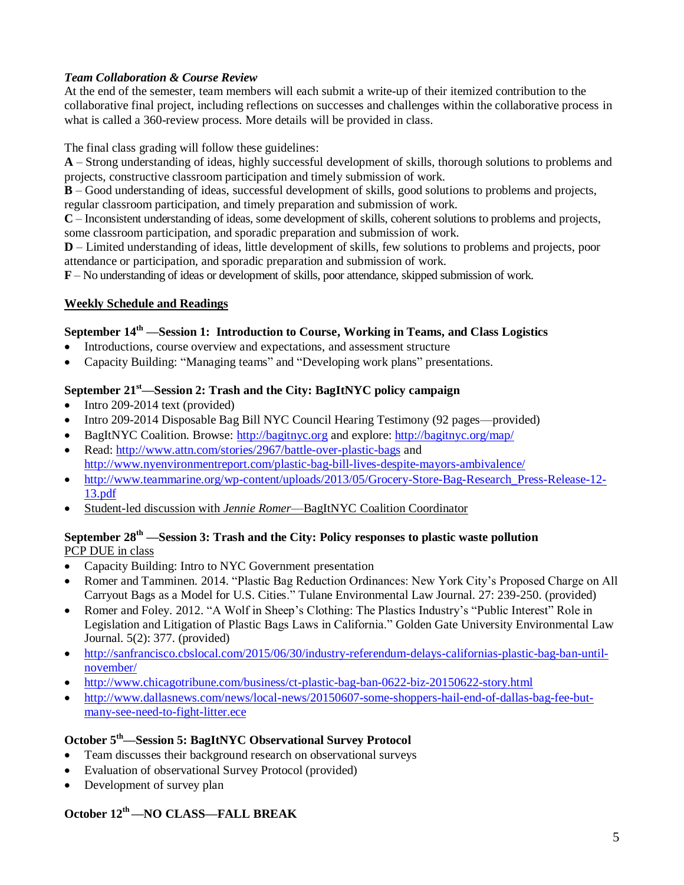### *Team Collaboration & Course Review*

At the end of the semester, team members will each submit a write-up of their itemized contribution to the collaborative final project, including reflections on successes and challenges within the collaborative process in what is called a 360-review process. More details will be provided in class.

### The final class grading will follow these guidelines:

**A** – Strong understanding of ideas, highly successful development of skills, thorough solutions to problems and projects, constructive classroom participation and timely submission of work.

**B** – Good understanding of ideas, successful development of skills, good solutions to problems and projects, regular classroom participation, and timely preparation and submission of work.

**C** – Inconsistent understanding of ideas, some development of skills, coherent solutions to problems and projects, some classroom participation, and sporadic preparation and submission of work.

**D** – Limited understanding of ideas, little development of skills, few solutions to problems and projects, poor attendance or participation, and sporadic preparation and submission of work.

**F** – No understanding of ideas or development of skills, poor attendance, skipped submission of work.

### **Weekly Schedule and Readings**

#### **September 14th —Session 1: Introduction to Course, Working in Teams, and Class Logistics**

- Introductions, course overview and expectations, and assessment structure
- Capacity Building: "Managing teams" and "Developing work plans" presentations.

# **September 21st—Session 2: Trash and the City: BagItNYC policy campaign**

- $\bullet$  Intro 209-2014 text (provided)
- Intro 209-2014 Disposable Bag Bill NYC Council Hearing Testimony (92 pages—provided)
- BagItNYC Coalition. Browse: [http://bagitnyc.org](http://bagitnyc.org/) and explore:<http://bagitnyc.org/map/>
- Read: <http://www.attn.com/stories/2967/battle-over-plastic-bags> and <http://www.nyenvironmentreport.com/plastic-bag-bill-lives-despite-mayors-ambivalence/>
- http://www.teammarine.org/wp-content/uploads/2013/05/Grocery-Store-Bag-Research Press-Release-12-[13.pdf](http://www.teammarine.org/wp-content/uploads/2013/05/Grocery-Store-Bag-Research_Press-Release-12-13.pdf)
- Student-led discussion with *Jennie Romer*—BagItNYC Coalition Coordinator

#### **September 28 th —Session 3: Trash and the City: Policy responses to plastic waste pollution** PCP DUE in class

- Capacity Building: Intro to NYC Government presentation
- Romer and Tamminen. 2014. "Plastic Bag Reduction Ordinances: New York City's Proposed Charge on All Carryout Bags as a Model for U.S. Cities." Tulane Environmental Law Journal. 27: 239-250. (provided)
- Romer and Foley. 2012. "A Wolf in Sheep's Clothing: The Plastics Industry's "Public Interest" Role in Legislation and Litigation of Plastic Bags Laws in California." Golden Gate University Environmental Law Journal. 5(2): 377. (provided)
- [http://sanfrancisco.cbslocal.com/2015/06/30/industry-referendum-delays-californias-plastic-bag-ban-until](http://sanfrancisco.cbslocal.com/2015/06/30/industry-referendum-delays-californias-plastic-bag-ban-until-november/)[november/](http://sanfrancisco.cbslocal.com/2015/06/30/industry-referendum-delays-californias-plastic-bag-ban-until-november/)
- <http://www.chicagotribune.com/business/ct-plastic-bag-ban-0622-biz-20150622-story.html>
- [http://www.dallasnews.com/news/local-news/20150607-some-shoppers-hail-end-of-dallas-bag-fee-but](http://www.dallasnews.com/news/local-news/20150607-some-shoppers-hail-end-of-dallas-bag-fee-but-many-see-need-to-fight-litter.ece)[many-see-need-to-fight-litter.ece](http://www.dallasnews.com/news/local-news/20150607-some-shoppers-hail-end-of-dallas-bag-fee-but-many-see-need-to-fight-litter.ece)

#### **October 5 th—Session 5: BagItNYC Observational Survey Protocol**

- Team discusses their background research on observational surveys
- Evaluation of observational Survey Protocol (provided)
- Development of survey plan

# **October 12 th ––NO CLASS—FALL BREAK**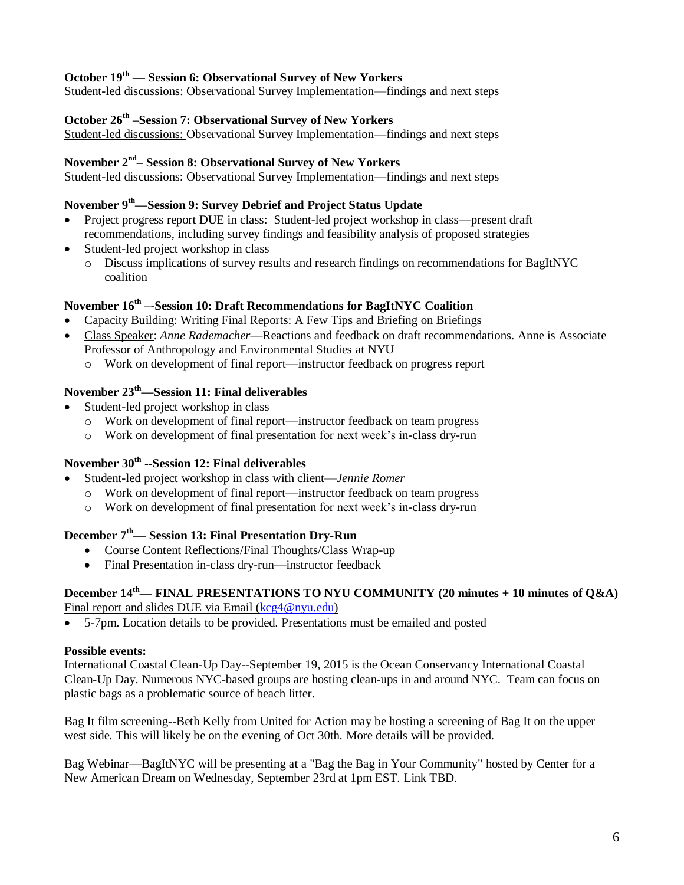### **October 19th — Session 6: Observational Survey of New Yorkers**

Student-led discussions: Observational Survey Implementation—findings and next steps

#### **October 26 th –Session 7: Observational Survey of New Yorkers**

Student-led discussions: Observational Survey Implementation—findings and next steps

#### **November 2 nd – Session 8: Observational Survey of New Yorkers**

Student-led discussions: Observational Survey Implementation—findings and next steps

#### **November 9 th—Session 9: Survey Debrief and Project Status Update**

- Project progress report DUE in class: Student-led project workshop in class—present draft recommendations, including survey findings and feasibility analysis of proposed strategies
- Student-led project workshop in class
	- o Discuss implications of survey results and research findings on recommendations for BagItNYC coalition

#### **November 16 th –-Session 10: Draft Recommendations for BagItNYC Coalition**

- Capacity Building: Writing Final Reports: A Few Tips and Briefing on Briefings
- Class Speaker: *Anne Rademacher*—Reactions and feedback on draft recommendations. Anne is Associate Professor of Anthropology and Environmental Studies at NYU
	- o Work on development of final report—instructor feedback on progress report

### **November 23 th—Session 11: Final deliverables**

- Student-led project workshop in class
	- o Work on development of final report—instructor feedback on team progress
	- o Work on development of final presentation for next week's in-class dry-run

#### **November 30th --Session 12: Final deliverables**

- Student-led project workshop in class with client—*Jennie Romer*
	- o Work on development of final report—instructor feedback on team progress
	- o Work on development of final presentation for next week's in-class dry-run

#### **December 7 th— Session 13: Final Presentation Dry-Run**

- Course Content Reflections/Final Thoughts/Class Wrap-up
- Final Presentation in-class dry-run—instructor feedback

# **December 14 th— FINAL PRESENTATIONS TO NYU COMMUNITY (20 minutes + 10 minutes of Q&A)**

Final report and slides DUE via Email [\(kcg4@nyu.edu\)](mailto:kcg4@nyu.edu)

5-7pm. Location details to be provided. Presentations must be emailed and posted

#### **Possible events:**

International Coastal Clean-Up Day--September 19, 2015 is the Ocean Conservancy International Coastal Clean-Up Day. Numerous NYC-based groups are hosting clean-ups in and around NYC. Team can focus on plastic bags as a problematic source of beach litter.

Bag It film screening--Beth Kelly from United for Action may be hosting a screening of Bag It on the upper west side. This will likely be on the evening of Oct 30th. More details will be provided.

Bag Webinar—BagItNYC will be presenting at a "Bag the Bag in Your Community" hosted by Center for a New American Dream on Wednesday, September 23rd at 1pm EST. Link TBD.